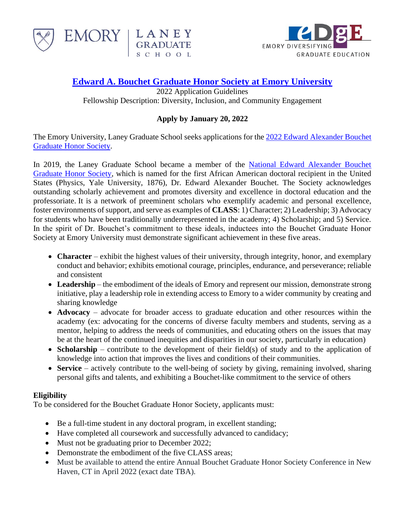



# **[Edward A. Bouchet Graduate Honor Society](https://gs.emory.edu/diversity/programming/emory-bouchet-graduate-honor-society/index.html) at Emory University**

LANEY<br>GRADUATE<br>school

2022 Application Guidelines Fellowship Description: Diversity, Inclusion, and Community Engagement

## **Apply by January 20, 2022**

The Emory University, Laney Graduate School seeks applications for the [2022 Edward Alexander](https://gs.emory.edu/diversity/programming/emory-bouchet-graduate-honor-society/index.html) Bouchet Graduate [Honor Society.](https://gs.emory.edu/diversity/programming/emory-bouchet-graduate-honor-society/index.html)

In 2019, the Laney Graduate School became a member of the [National Edward Alexander Bouchet](https://gsas.yale.edu/diversity/office-graduate-student-development-diversity/edward-bouchet-conference)  [Graduate Honor Society,](https://gsas.yale.edu/diversity/office-graduate-student-development-diversity/edward-bouchet-conference) which is named for the first African American doctoral recipient in the United States (Physics, Yale University, 1876), Dr. Edward Alexander Bouchet. The Society acknowledges outstanding scholarly achievement and promotes diversity and excellence in doctoral education and the professoriate. It is a network of preeminent scholars who exemplify academic and personal excellence, foster environments of support, and serve as examples of **CLASS**: 1) Character; 2) Leadership; 3) Advocacy for students who have been traditionally underrepresented in the academy; 4) Scholarship; and 5) Service. In the spirit of Dr. Bouchet's commitment to these ideals, inductees into the Bouchet Graduate Honor Society at Emory University must demonstrate significant achievement in these five areas.

- **Character** exhibit the highest values of their university, through integrity, honor, and exemplary conduct and behavior; exhibits emotional courage, principles, endurance, and perseverance; reliable and consistent
- **Leadership** the embodiment of the ideals of Emory and represent our mission, demonstrate strong initiative, play a leadership role in extending access to Emory to a wider community by creating and sharing knowledge
- **Advocacy** advocate for broader access to graduate education and other resources within the academy (ex: advocating for the concerns of diverse faculty members and students, serving as a mentor, helping to address the needs of communities, and educating others on the issues that may be at the heart of the continued inequities and disparities in our society, particularly in education)
- **Scholarship** contribute to the development of their field(s) of study and to the application of knowledge into action that improves the lives and conditions of their communities.
- **Service** actively contribute to the well-being of society by giving, remaining involved, sharing personal gifts and talents, and exhibiting a Bouchet-like commitment to the service of others

#### **Eligibility**

To be considered for the Bouchet Graduate Honor Society, applicants must:

- Be a full-time student in any doctoral program, in excellent standing;
- Have completed all coursework and successfully advanced to candidacy;
- Must not be graduating prior to December 2022;
- Demonstrate the embodiment of the five CLASS areas;
- Must be available to attend the entire Annual Bouchet Graduate Honor Society Conference in New Haven, CT in April 2022 (exact date TBA).